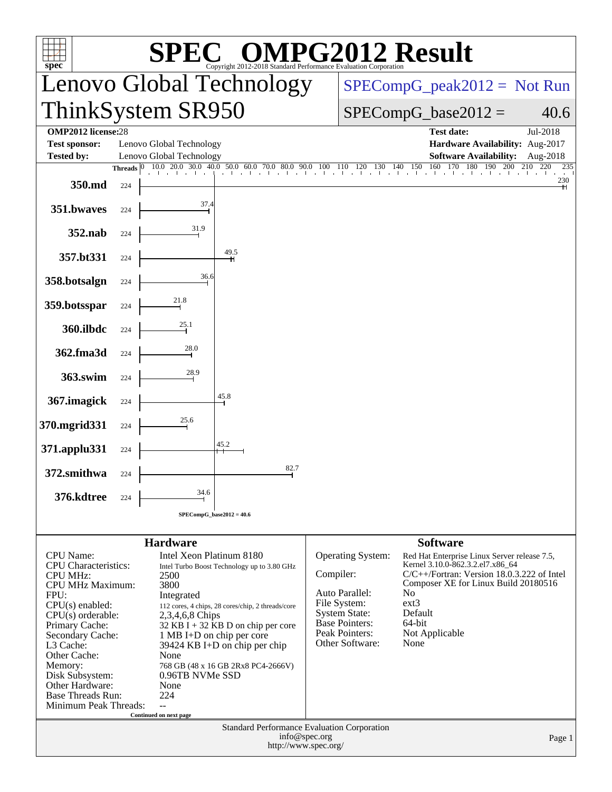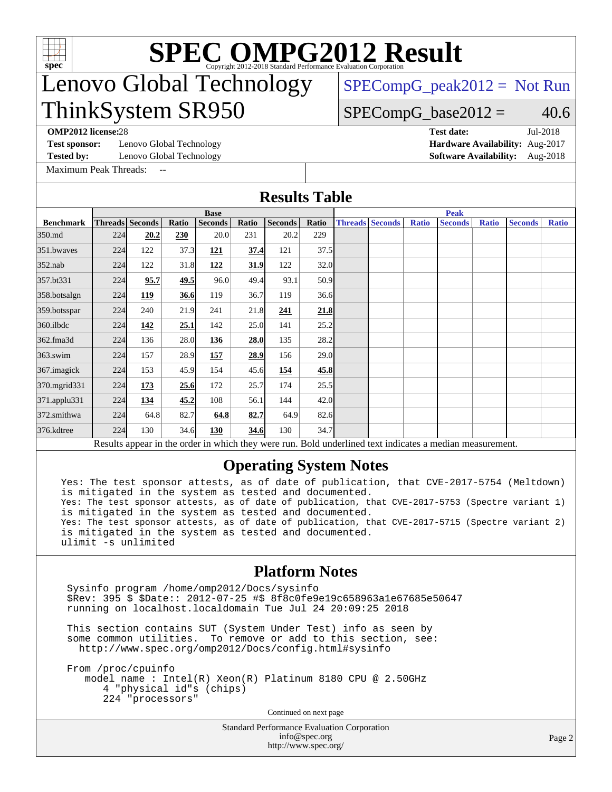

# **[SPEC OMPG2012 Result](http://www.spec.org/auto/omp2012/Docs/result-fields.html#SPECOMPG2012Result)**

## Lenovo Global Technology ThinkSystem SR950

 $SPECompG_peak2012 = Not Run$  $SPECompG_peak2012 = Not Run$ 

### $SPECompG_base2012 = 40.6$  $SPECompG_base2012 = 40.6$

**[OMP2012 license:](http://www.spec.org/auto/omp2012/Docs/result-fields.html#OMP2012license)**28 **[Test date:](http://www.spec.org/auto/omp2012/Docs/result-fields.html#Testdate)** Jul-2018

**[Test sponsor:](http://www.spec.org/auto/omp2012/Docs/result-fields.html#Testsponsor)** Lenovo Global Technology **[Hardware Availability:](http://www.spec.org/auto/omp2012/Docs/result-fields.html#HardwareAvailability)** Aug-2017

**[Tested by:](http://www.spec.org/auto/omp2012/Docs/result-fields.html#Testedby)** Lenovo Global Technology **[Software Availability:](http://www.spec.org/auto/omp2012/Docs/result-fields.html#SoftwareAvailability)** Aug-2018

[Maximum Peak Threads:](http://www.spec.org/auto/omp2012/Docs/result-fields.html#MaximumPeakThreads)

**[Results Table](http://www.spec.org/auto/omp2012/Docs/result-fields.html#ResultsTable)**

|                  |             |                 |       |                |       | TWO THE THUS   |       |             |                        |              |                                                                                                          |              |                |              |
|------------------|-------------|-----------------|-------|----------------|-------|----------------|-------|-------------|------------------------|--------------|----------------------------------------------------------------------------------------------------------|--------------|----------------|--------------|
|                  | <b>Base</b> |                 |       |                |       |                |       | <b>Peak</b> |                        |              |                                                                                                          |              |                |              |
| <b>Benchmark</b> |             | Threads Seconds | Ratio | <b>Seconds</b> | Ratio | <b>Seconds</b> | Ratio |             | <b>Threads Seconds</b> | <b>Ratio</b> | <b>Seconds</b>                                                                                           | <b>Ratio</b> | <b>Seconds</b> | <b>Ratio</b> |
| 350.md           | 224         | 20.2            | 230   | 20.0           | 231   | 20.2           | 229   |             |                        |              |                                                                                                          |              |                |              |
| 351.bwayes       | 224         | 122             | 37.3  | 121            | 37.4  | 121            | 37.5  |             |                        |              |                                                                                                          |              |                |              |
| $352$ .nab       | 224         | 122             | 31.8  | 122            | 31.9  | 122            | 32.0  |             |                        |              |                                                                                                          |              |                |              |
| 357.bt331        | 224         | 95.7            | 49.5  | 96.0           | 49.4  | 93.1           | 50.9  |             |                        |              |                                                                                                          |              |                |              |
| 358.botsalgn     | 224         | 119             | 36.6  | 119            | 36.7  | 119            | 36.6  |             |                        |              |                                                                                                          |              |                |              |
| $359.$ botsspar  | 224         | 240             | 21.9  | 241            | 21.8  | 241            | 21.8  |             |                        |              |                                                                                                          |              |                |              |
| $360$ .ilbdc     | 224         | 142             | 25.1  | 142            | 25.0  | 141            | 25.2  |             |                        |              |                                                                                                          |              |                |              |
| 362.fma3d        | 224         | 136             | 28.0  | 136            | 28.0  | 135            | 28.2  |             |                        |              |                                                                                                          |              |                |              |
| $363$ .swim      | 224         | 157             | 28.9  | 157            | 28.9  | 156            | 29.0  |             |                        |              |                                                                                                          |              |                |              |
| 367.imagick      | 224         | 153             | 45.9  | 154            | 45.6  | 154            | 45.8  |             |                        |              |                                                                                                          |              |                |              |
| 370.mgrid331     | 224         | 173             | 25.6  | 172            | 25.7  | 174            | 25.5  |             |                        |              |                                                                                                          |              |                |              |
| 371.applu331     | 224         | 134             | 45.2  | 108            | 56.1  | 144            | 42.0  |             |                        |              |                                                                                                          |              |                |              |
| 372.smithwa      | 224         | 64.8            | 82.7  | 64.8           | 82.7  | 64.9           | 82.6  |             |                        |              |                                                                                                          |              |                |              |
| 376.kdtree       | 224         | 130             | 34.6  | 130            | 34.6  | 130            | 34.7  |             |                        |              |                                                                                                          |              |                |              |
|                  |             |                 |       |                |       |                |       |             |                        |              | Results appear in the order in which they were run. Bold underlined text indicates a median measurement. |              |                |              |

### **[Operating System Notes](http://www.spec.org/auto/omp2012/Docs/result-fields.html#OperatingSystemNotes)**

Yes: The test sponsor attests, as of date of publication, that CVE-2017-5754 (Meltdown) is mitigated in the system as tested and documented. Yes: The test sponsor attests, as of date of publication, that CVE-2017-5753 (Spectre variant 1) is mitigated in the system as tested and documented. Yes: The test sponsor attests, as of date of publication, that CVE-2017-5715 (Spectre variant 2) is mitigated in the system as tested and documented. ulimit -s unlimited

#### **[Platform Notes](http://www.spec.org/auto/omp2012/Docs/result-fields.html#PlatformNotes)**

 Sysinfo program /home/omp2012/Docs/sysinfo \$Rev: 395 \$ \$Date:: 2012-07-25 #\$ 8f8c0fe9e19c658963a1e67685e50647 running on localhost.localdomain Tue Jul 24 20:09:25 2018

 This section contains SUT (System Under Test) info as seen by some common utilities. To remove or add to this section, see: <http://www.spec.org/omp2012/Docs/config.html#sysinfo>

 From /proc/cpuinfo model name : Intel(R) Xeon(R) Platinum 8180 CPU @ 2.50GHz 4 "physical id"s (chips) 224 "processors"

Continued on next page

Standard Performance Evaluation Corporation [info@spec.org](mailto:info@spec.org) <http://www.spec.org/>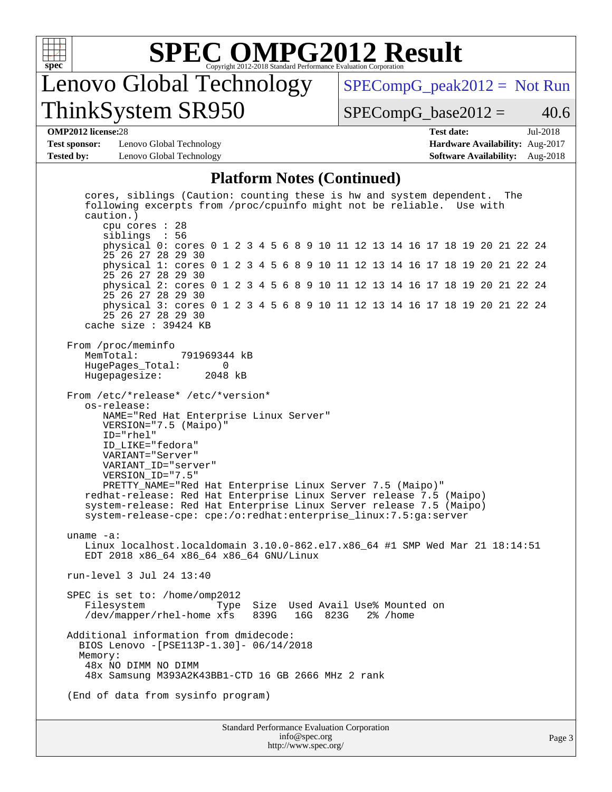

# **[SPEC OMPG2012 Result](http://www.spec.org/auto/omp2012/Docs/result-fields.html#SPECOMPG2012Result)**

## Lenovo Global Technology ThinkSystem SR950

 $SPECompG_peak2012 = Not Run$  $SPECompG_peak2012 = Not Run$ 

 $SPECompG_base2012 = 40.6$  $SPECompG_base2012 = 40.6$ 

#### **[OMP2012 license:](http://www.spec.org/auto/omp2012/Docs/result-fields.html#OMP2012license)**28 **[Test date:](http://www.spec.org/auto/omp2012/Docs/result-fields.html#Testdate)** Jul-2018

**[Test sponsor:](http://www.spec.org/auto/omp2012/Docs/result-fields.html#Testsponsor)** Lenovo Global Technology **[Hardware Availability:](http://www.spec.org/auto/omp2012/Docs/result-fields.html#HardwareAvailability)** Aug-2017 **[Tested by:](http://www.spec.org/auto/omp2012/Docs/result-fields.html#Testedby)** Lenovo Global Technology **[Software Availability:](http://www.spec.org/auto/omp2012/Docs/result-fields.html#SoftwareAvailability)** Aug-2018

#### **[Platform Notes \(Continued\)](http://www.spec.org/auto/omp2012/Docs/result-fields.html#PlatformNotes)**

 cores, siblings (Caution: counting these is hw and system dependent. The following excerpts from /proc/cpuinfo might not be reliable. Use with caution.) cpu cores : 28 siblings : 56 physical 0: cores 0 1 2 3 4 5 6 8 9 10 11 12 13 14 16 17 18 19 20 21 22 24 25 26 27 28 29 30 physical 1: cores 0 1 2 3 4 5 6 8 9 10 11 12 13 14 16 17 18 19 20 21 22 24 25 26 27 28 29 30 physical 2: cores 0 1 2 3 4 5 6 8 9 10 11 12 13 14 16 17 18 19 20 21 22 24 25 26 27 28 29 30 physical 3: cores 0 1 2 3 4 5 6 8 9 10 11 12 13 14 16 17 18 19 20 21 22 24 25 26 27 28 29 30 cache size : 39424 KB From /proc/meminfo<br>MemTotal: 791969344 kB HugePages\_Total: 0<br>Hugepagesize: 2048 kB Hugepagesize: From /etc/\*release\* /etc/\*version\* os-release: NAME="Red Hat Enterprise Linux Server" VERSION="7.5 (Maipo)" ID="rhel" ID\_LIKE="fedora" VARIANT="Server" VARIANT\_ID="server" VERSION\_ID="7.5" PRETTY\_NAME="Red Hat Enterprise Linux Server 7.5 (Maipo)" redhat-release: Red Hat Enterprise Linux Server release 7.5 (Maipo) system-release: Red Hat Enterprise Linux Server release 7.5 (Maipo) system-release-cpe: cpe:/o:redhat:enterprise\_linux:7.5:ga:server uname -a: Linux localhost.localdomain 3.10.0-862.el7.x86\_64 #1 SMP Wed Mar 21 18:14:51 EDT 2018 x86\_64 x86\_64 x86\_64 GNU/Linux run-level 3 Jul 24 13:40 SPEC is set to: /home/omp2012 Filesystem Type Size Used Avail Use% Mounted on<br>/dev/mapper/rhel-home xfs 839G 16G 823G 2% /home /dev/mapper/rhel-home xfs 839G Additional information from dmidecode: BIOS Lenovo -[PSE113P-1.30]- 06/14/2018 Memory: 48x NO DIMM NO DIMM 48x Samsung M393A2K43BB1-CTD 16 GB 2666 MHz 2 rank (End of data from sysinfo program)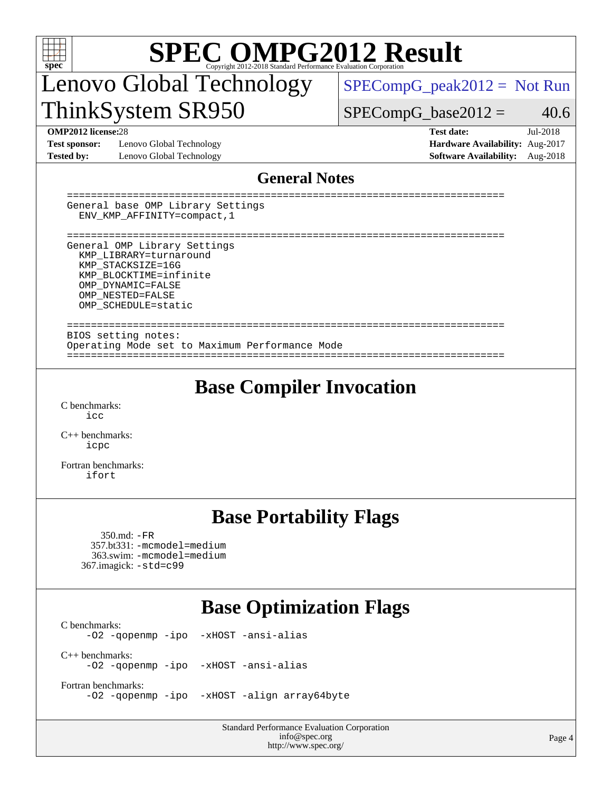